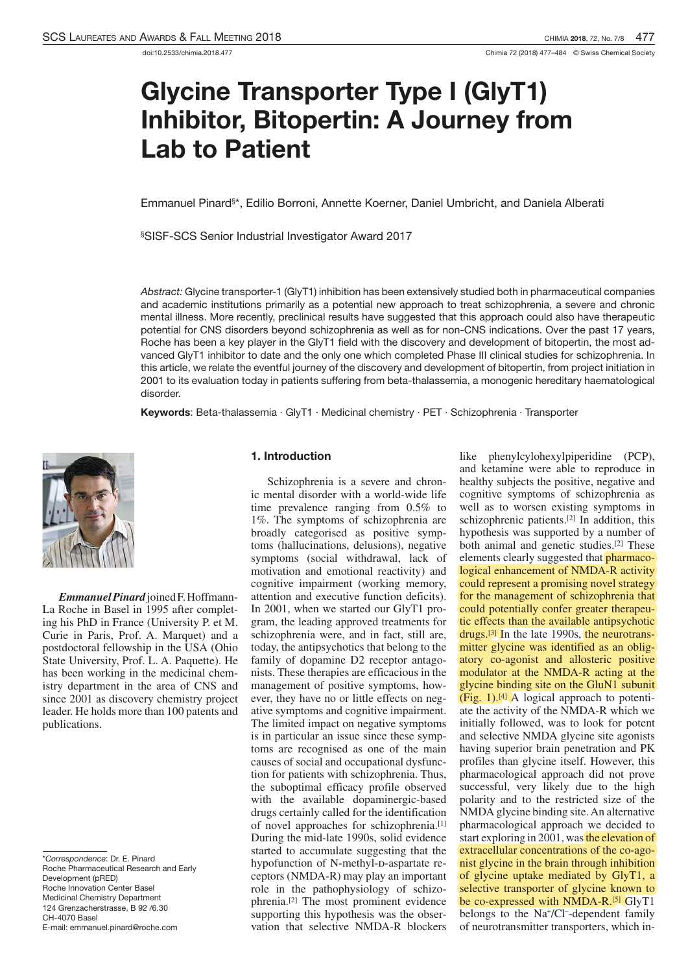# Glycine Transporter Type I (GlyT1) Inhibitor, Bitopertin: A Journey from Lab to Patient

Emmanuel Pinard<sup>s\*</sup>, Edilio Borroni, Annette Koerner, Daniel Umbricht, and Daniela Alberati

§SISF-SCS Senior Industrial Investigator Award 2017

Abstract: Glycine transporter-1 (GlyT1) inhibition has been extensively studied both in pharmaceutical companies and academic institutions primarily as a potential new approach to treat schizophrenia, a severe and chronic mental illness. More recently, preclinical results have suggested that this approach could also have therapeutic potential for CNS disorders beyond schizophrenia as well as for non-CNS indications. Over the past 17 years, Roche has been a key player in the GlyT1 field with the discovery and development of bitopertin, the most advanced GlyT1 inhibitor to date and the only one which completed Phase III clinical studies for schizophrenia. In this article, we relate the eventful journey of the discovery and development of bitopertin, from project initiation in 2001 to its evaluation today in patients suffering from beta-thalassemia, a monogenic hereditary haematological disorder.

Keywords: Beta-thalassemia · GlyT1 · Medicinal chemistry · PET · Schizophrenia · Transporter



*EmmanuelPinard*joinedF.Hoffmann-La Roche in Basel in 1995 after completing his PhD in France (University P. et M. postdoctoral fellowship in the USA (Ohio postdoctoral fellowship in the USA (Unio State University, Prof. L. A. Paquette). He has been working in the medicinal chemistry department in the area of CNS and since 2001 as discovery chemistry project leader. He holds more than 100 patents and publications.

\*Correspondence: Dr. E. Pinard Roche Pharmaceutical Research and Early Development (pRED) Roche Innovation Center Basel Medicinal Chemistry Department 124 Grenzacherstrasse, B 92 /6.30 CH-4070 Basel E-mail: emmanuel.pinard@roche.com

#### 1. Introduction

Schizophrenia is a severe and chron-<br>ic mental disorder with a world-wide life time prevalence ranging from  $0.5\%$  to  $1\%$ . The symptoms of schizophrenia are broadly categorised as positive symptoms (hallucinations, delusions), negative symptoms (social withdrawal, lack of motivation and emotional reactivity) and motivation and emotional reactivity) and cognitive impairment (working memory, attention and executive function deficits). In 2001, when we started our GlyT1 program, the leading approved treatments for schizophrenia were, and in fact, still are, today, the antipsychotics that belong to the family of dopamine D2 receptor antagonists. These therapies are efficacious in the management of positive symptoms, however, they have no or little effects on negever, they have no or little effects on negative symptoms and cognitive impairment. The immed impact on negative symptoms is in particular an issue since these symptoms are recognised as one of the main causes of social and occupational dysfunction for patients with schizophrenia. Thus, the suboptimal efficacy profile observed with the available dopaminergic-based drugs certainly called for the identification of novel approaches for schizophrenia.[1] During the mid-late 1990s, solid evidence started to accumulate suggesting that the hypofunction of N-methyl-d-aspartate receptors (NMDA-R) may play an important role in the pathophysiology of schizophrenia.<sup>[2]</sup> The most prominent evidence supporting this hypothesis was the obsersupporting this hypothesis was the obser-

vation that selective NMDA-R blockers

like phenylcylohexylpiperidine (PCP), and ketamine were able to reproduce in healthy subjects the positive, negative and cognitive symptoms of schizophrenia as<br>well as to worsen existing symptoms in well as to worsen existing symptoms in schizophrenic patients.<sup>[2]</sup> In addition, this hypothesis was supported by a number of both animal and genetic studies.<sup>[2]</sup> These elements clearly suggested that pharmacological enhancement of NMDA-R activity could represent a promising novel strategy for the management of schizophrenia that could potentially confer greater therapeutic effects than the available antipsychotic drugs.[3] In the late 1990s, the neurotransmitter glycine was identified as an obligatory co-agonist and allosteric positive modulator at the NMDA-R acting at the glycine binding site on the GluN1 subunit  $(Fig. 1).<sup>[4]</sup> A logical approach to potenti$ ate the activity of the NMDA-R which we initially followed, was to look for potent initially followed, was to look for potent and selective NMDA glycine site agonists having superior brain penetration and PK profiles than glycine itself. However, this pharmacological approach did not prove successful, very likely due to the high polarity and to the restricted size of the NMDA glycine binding site.An alternative pharmacological approach we decided to start exploring in 2001, was the elevation of extracellular concentrations of the co-agonist glycine in the brain through inhibition of glycine uptake mediated by GlyT1, a selective transporter of glycine known to be co-expressed with NMDA-R.<sup>[5]</sup> GlyT1 belongs to the  $Na<sup>+</sup>/Cl<sup>-</sup>$ -dependent family of neurotransmitter transporters, which in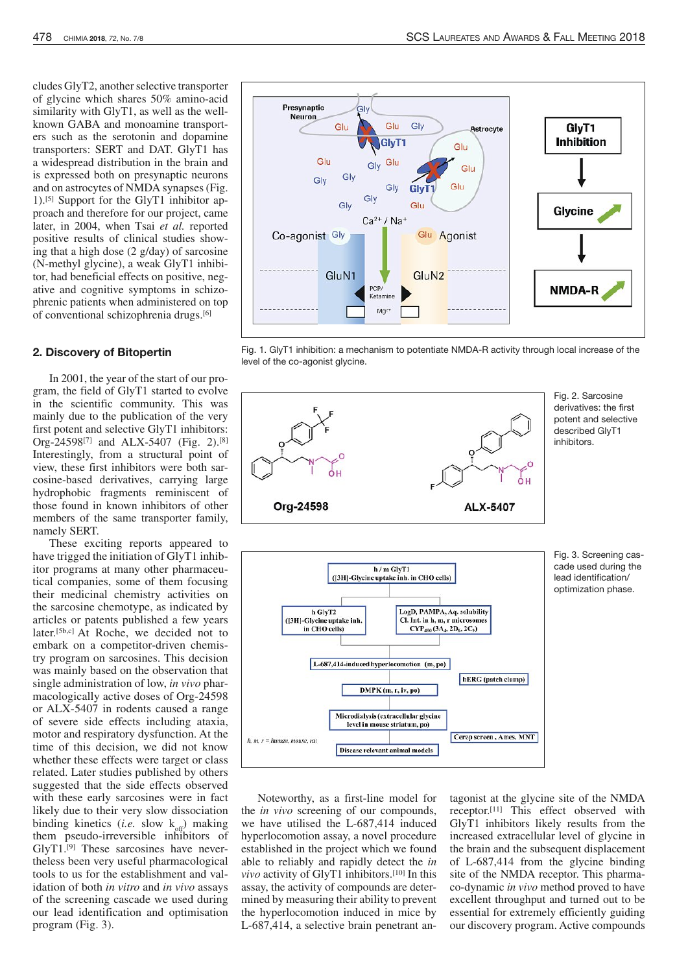cludes GlyT2, another selective transporter<br>of glycine which shares  $50\%$  amino-acid similarity with  $GlyT1$ , as well as the wellknown GABA and monoamine transporters such as the serotonin and dopamine transporters: SERT and DAT. GlyT1 has a widespread distribution in the brain and a widespread distribution in the brain and is expressed both on presynaptic neurons<br>and an astroquias of NMDA synapses (Fig. and on astrocytes of NMDA synapses (Fig.  $\frac{1}{16}$ ) Symmetric for the Cly<sup>T1</sup> inhibitor on 1).<sup>[5]</sup> Support for the GlyT1 inhibitor approach and therefore for our project, came later, in 2004, when Tsai *et al.* reported positive results of clinical studies showing that a high dose  $(2 \text{ grad } y)$  of sarcosine<br>(N mother obtaine) or work  $Cl<sub>v</sub>TI$  inhibi-(N-methyl glycine), a weak GlyT1 inhibitor, had beneficial effects on positive, negative and cognitive symptoms in schizophrenic patients when administered on top phrenic patients when administered on top of conventional schizophrenia drugs.[6]

#### 2. Discovery of Bitopertin

In 2001, the year of the start of our program, the field of GlyT1 started to evolve in the scientific community. This was mainly due to the publication of the very first potent and selective GlyT1 inhibitors: first potent and selective GlyT<sub>1</sub> inhibitors.<br> $\cos 24509^{17}$  and ATV 5407 (Eq. 2) [8]  $\text{Urg-24598}^{(7)}$  and ALA-5407 (Fig. 2).<sup>[9]</sup> Interestingly, from a structural point of view, these first inhibitors were both sarcosine-based derivatives, carrying large hydrophobic fragments reminiscent of hydrophobic fragments reminiscent of those found in known inhibitors of other members of the same transporter family, namely SERT.

These exciting reports appeared to have trigged the initiation of GlyT1 inhibitor programs at many other pharmaceutical companies, some of them focusing<br>their medicinal chemistry activities on the sarcosine chemotype, as indicated by articles or patents published a few years articles or patents published a few years<br>lotar<sup>15h cl.</sup> A+ Doobe, we decided not to embark on a competitor-driven chemis- $[50, c]$  At Roche, we decided not to embark on a competitor-driven chemistry program on sarcosines. This decision was mainly based on the observation that<br>single administration of low, *in vivo* pharmacologically active doses of Org-24598 or ALX-5407 in rodents caused a range of severe side effects including ataxia, motor and respiratory dysfunction. At the time of this decision, we did not know whether these effects were target or class<br>related. Later studies published by others related. Later studies published by others suggested that the side effects observed with these early sarcosines were in fact likely due to their very slow dissociation binding kinetics  $(i.e. \text{slow } k_{\text{off}})$  making them pseudo-irreversible inhibitors of GlyT1.[9] These sarcosines have nevertheless been very useful pharmacological tools to us for the establishment and validation of both *in vitro* and *in vivo* assays of the screening cascade we used during our lead identification and optimisation program (Fig. 3).



Fig. 1. GlyT1 inhibition: a mechanism to potentiate NMDA-R activity through local increase of the level of the co-agonist glycine.



Fig. 2. Sarcosine derivatives: the first potent and selective described GlyT1 inhibitors.



Fig. 3. Screening cascade used during the lead identification/ optimization phase.

Noteworthy, as a first-line model for the *in vivo* screening of our compounds, we have utilised the L-687,414 induced hyperlocomotion assay, a novel procedure established in the project which we found able to reliably and rapidly detect the *in vivo* activity of GlyT1 inhibitors.[10] In this assay, the activity of compounds are determined by measuring their ability to prevent the hyperlocomotion induced in mice by L-687,414, a selective brain penetrant an-

tagonist at the glycine site of the NMDA receptor.<sup>[11]</sup> Inis effect observed with<br>Clast<sub>1</sub> inhibitors likely recults from the GlyT1 inhibitors likely results from the increased extracellular level of glycine in the brain and the subsequent displacement of L-687,414 from the glycine binding site of the NMDA receptor. This pharmaco-dynamic *in vivo* method proved to have excellent throughput and turned out to be essential for extremely efficiently guiding our discovery program. Active compounds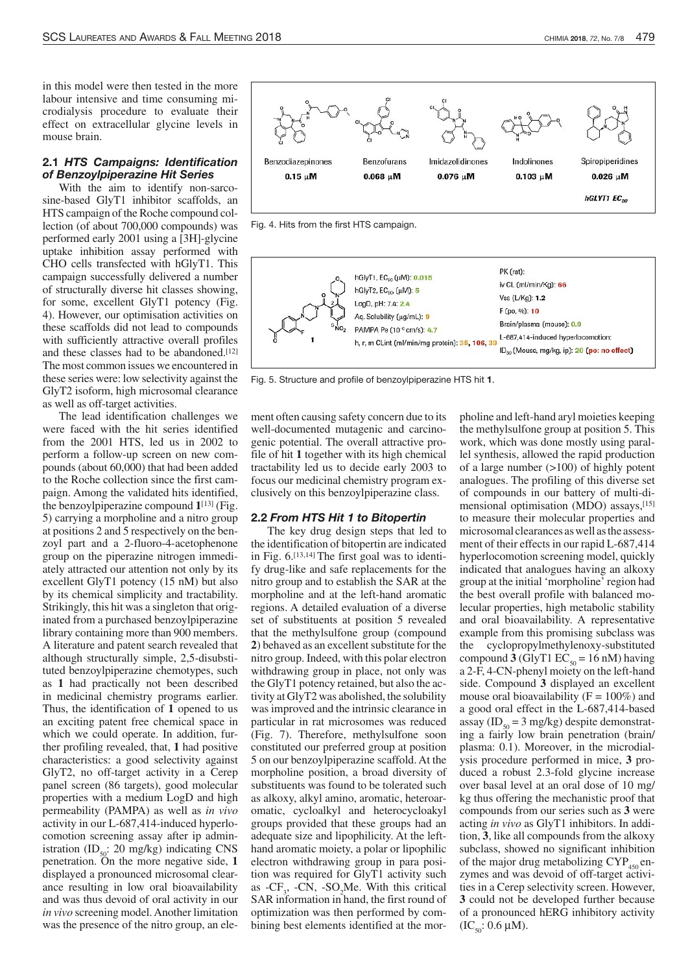in this model were then tested in the more<br>labour intensive and time consuming microdialysis procedure to evaluate their crodialysis procedure to evaluate their effect on extracellular glycine levels in mouse brain.

# 2.1 HTS Campaigns: Identification of Benzoylpiperazine Hit Series

with the aim to identify non-sarcosinc-based GlyT<sub>1</sub> inhibitor scarious, an HTS campaign of the Roche compound collection (of about 700,000 compounds) was performed early 2001 using a [3H]-glycine uptake inhibition assay performed with CHO cells transfected with hGlyT1. This campaign successfully delivered a number of structurally diverse hit classes showing, for some, excellent GlyT1 potency (Fig. 4). However, our optimisation activities on these scaffolds did not lead to compounds with sufficiently attractive overall profiles with sufficiently attractive overall profiles and these classes had to be abandoned.<sup>[12]</sup> The most common issues we encountered in<br>these series were: low selectivity against the these series were: low selectivity against the GlyT2 isoform, high microsomal clearance as well as off-target activities.

were faced with the hit series identified from the  $2001$  HTS, led us in  $2002$  to perform a follow-up screen on new compounds (about 60,000) that had been added to the Roche collection since the first camto the Roche collection since the first campaign. Among the vandated hits identified, the benzoylpiperazine compound **<sup>1</sup>**[13] (Fig. 5) carrying a morpholine and a nitro group at positions  $2$  and  $3$  respectively on the benzoyl part and a  $2$ -fluoro-4-acetophenone group on the piperazine nitrogen immediately attracted our attention not only by its excellent GlyT1 potency (15 nM) but also by its chemical simplicity and tractability.<br>Strikingly, this hit was a singleton that originated from a purchased benzoylpiperazine inated from a purchased benzoylpiperazine library containing more than 900 members. A literature and patent search revealed that although structurally simple, 2,5-disubstialthough structurally simple, 2,5-disubstituted benzoylpiperazine chemotypes, such as **<sup>1</sup>** had practically not been described in medicinal chemistry programs earlier. Thus, the identification of **<sup>1</sup>** opened to us an exciting patent free chemical space in which we could operate. In addition, further profiling revealed, that, **<sup>1</sup>** had positive characteristics: a good selectivity against GlyT2, no off-target activity in a Cerep panel screen (86 targets), good molecular<br>properties with a medium LogD and high properties with a medium LogD and high permeability (PAMPA) as well as *in vivo* activity in our L-687,414-induced hyperlocomotion screening assay after ip administration (ID<sub>50</sub>: 20 mg/kg) indicating CNS penetration. On the more negative side, **<sup>1</sup>** displayed a pronounced microsomal clearance resulting in low oral bioavailability and was thus devoid of oral activity in our *in vivo* screening model.Another limitation was the presence of the nitro group, an ele-



Fig. 4. Hits from the first HTS campaign.



Fig. 5. Structure and profile of benzoylpiperazine HTS hit 1.

ment often causing safety concern due to its<br>well-documented mutagenic and carcinogenic potential. The overall attractive progenic potential. The overall attractive pro-<br>file of hit **1** together with its high chemical tractability led us to decide early 2003 to focus our medicinal chemistry program exfocus our medicinal chemistry program exclusively on this benzoylpiperazine class.

#### 2.2 From HTS Hit 1 to Bitopertin

The key drug design steps that led to the identification of bitopertin are indicated in Fig.  $6$ .<sup>[13,14]</sup> The first goal was to identify drug-like and safe replacements for the nitro group and to establish the SAR at the regions. A detailed evaluation of a diverse set of substituents at position 5 revealed set of substituents at position 5 revealed that the methylsulfone group (compound **2**) behaved as an excellent substitute for the nitro group. Indeed, with this polar electron nitro group. Indeed, with this polar electron withdrawing group in place, not only was the GlyT1 potency retained, but also the activity at GlyT2 was abolished, the solubility wasimproved and the intrinsic clearance in particular in rat microsomes was reduced (Fig. 7). Therefore, methylsulfone soon constituted our preferred group at position 5 on our benzoylpiperazine scaffold. Atthe morpholine position, a broad diversity of substituents was found to be tolerated such as alkoxy, alkyl amino, aromatic, heteroar-<br>omatic, cycloalkyl and heterocycloakyl omatic, cycloalkyl and heterocycloakyl groups provided that these groups had an adequate size and lipophilicity. At the lefthand aromatic moiety, a polar or lipophilic electron withdrawing group in para position was required for GlyT1 activity such as  $-CF_3$ ,  $-CIN$ ,  $SO_2$  With this critical<br>SAD information in hand, the functioning of SAR information in hand, the first round of optimization was then performed by combining best elements identified at the morpholine and left-hand aryl moieties keeping<br>the methylsulfone group at position 5. This work, which was done mostly using parallel synthesis, allowed the rapid production of a large number  $(>100)$  of highly potent analogues. The profiling of this diverse set of compounds in our battery of multi-diof compounds in our battery of multi-dimensional optimisation (MDO) assays,<sup>[15]</sup> to measure their molecular properties and microsomal clearances aswell asthe assessment of their effects in our rapid L-687,414<br>hyperlocomotion screening model, quickly hyperlocomotion screening model, quickly indicated that analogues having an alkoxy group at the initial 'morpholine' region had<br>the best overall profile with balanced molecular properties, high metabolic stability and oral bioavailability. A representative and oral bioavailability. A representative example from this promising subclass was the cyclopropylinethylenoxy-substituted<br>compound **3** (GlyT1  $EC_{50} = 16$  nM) having a 2-F, 4-CN-phenyl moiety on the left-hand side. Compound **<sup>3</sup>** displayed an excellent mouse oral bioavailability ( $F = 100\%$ ) and a good oral effect in the L-687,414-based assay (ID<sub>50</sub> = 3 mg/kg) despite demonstrating a fairly low brain penetration (brain/ plasma: 0.1). Moreover, in the microdialysis procedure performed in mice, **<sup>3</sup>** produced a robust 2.3-fold glycine increase over basal level at an oral dose of 10 mg/ kg thus offering the mechanistic proof that compounds from our series such as **<sup>3</sup>** were acting *in vivo* as GlyT1 inhibitors. In addition, **<sup>3</sup>**, like all compounds from the alkoxy subclass, showed no significant inhibition of the major drug metabolizing  $C_1P_{450}$  enzymes and was devoid of off-target activities in a Cerep selectivity screen. However, **<sup>3</sup>** could not be developed further because of a pronounced hERG inhibitory activity  $(IC_{50}: 0.6 \mu M).$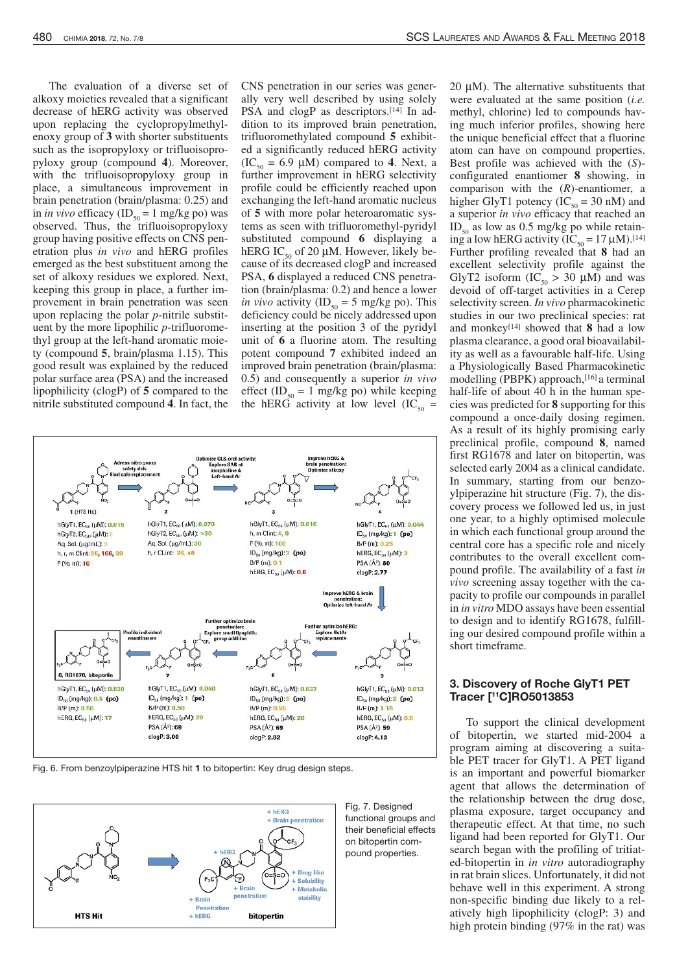The evaluation of a diverse set of alkoxy moieties revealed that a significant decrease of hERG activity was observed upon replacing the cyclopropylmethylupon replacing the cyclopropylmethyl-enoxy group of **<sup>3</sup>** with shorter substituents such as the isopropyloxy or trifluoisopro-pyloxy group (compound **<sup>4</sup>**). Moreover, with the trifluoisopropyloxy group in place, a simultaneous improvement in brain penetration (brain/plasma: 0.25) and  $\sin in$  *in vivo* efficacy  $(ID_{50} = 1 \text{ mg/kg po})$  was observed. Thus, the trifluoisopropyloxy group having positive effects on CNS pengroup having positive effects on CNS pen-etration plus *in vivo* and hERG profiles emerged as the best substituent among the set of alkoxy residues we explored. Next, keeping this group in place, a further improvement in brain penetration was seen provement in brain penetration was seen<br>upon replacing the polar *p*-nitrile substituent by the more lipophilic *p*-trifluorome-<br>thyl group at the left-hand aromatic moiety (compound **5**, brain/plasma 1.15). This<br>cood result was arrived by the reduced good result was explained by the reduced polar surface area (PSA) and the increased lipophilicity (clogP) of **<sup>5</sup>** compared to the nitrile substituted compound **<sup>4</sup>**. In fact, the CNS penetration in our series was gener-PSA and clogP as descriptors. $[14]$  In addition to its improved brain penetration, dition to its improved brain penetration, trifluoromethylated compound **<sup>5</sup>** exhibit- $\frac{dE}{dt}$  (IC<sub>50</sub> = 6.9 µM) compared to **4**. Next, a further improvement in hEDG selectivity further improvement in hERG selectivity<br>profile could be efficiently reached upon profile could be efficiently reached upon exchanging the left-hand aromatic nucleus of 5 with more polar heteroaromatic systems as seen with trifluoromethyl-pyridyl tems as seen with trifluoromethyl-pyridyl substituted compound **<sup>6</sup>** displaying <sup>a</sup> cause of its decreased clogP and increased hERG IC<sub>50</sub> of 20  $\mu$ M. However, likely be-PSA, **6** displayed a reduced CNS penetra-<br>PSA, **6** displayed a reduced CNS penetra- $\frac{1}{2}$  *in vivo* activity  $\left(\text{ID}_{50} = 5 \text{ mg/kg po}\right)$ . This deficiency could be nicely addressed upon<br>inserting at the position 3 of the pyridyl inserting at the position 3 of the pyridyl unit of **<sup>6</sup>** <sup>a</sup> fluorine atom. The resulting potent compound 7 exhibited indeed an improved brain penetration (brain/plasma: improved brain penetration (brain/plasma:<br>0.5) and consequently a superior *in vivo*<br>offect (ID,  $= 1 \text{ rad}(\cos \pi \omega)$  while leaving effect (ID<sub>50</sub> = 1 mg/kg po) while keeping the hERG activity at low level  $(IC_{50} =$ 



Fig. 6. From benzoylpiperazine HTS hit 1 to bitopertin: Key drug design steps.



<sup>20</sup> <sup>µ</sup>M). The alternative substituents that were evaluated at the same position (*i.e.* ing much inferior profiles, showing here the unique beneficial effect that a fluorine atom can have on compound properties. atom can have on compound properties. Best profile was achieved with the (*S*) configurated enantiomer **<sup>8</sup>** showing, in comparison with the (*R*)-enantiomer, <sup>a</sup> higher GlyT1 potency ( $IC_{50} = 30$  nM) and a superior *in vivo* efficacy that reached an  $ID_{50}$  as low as 0.5 mg/kg po while retain- $10^{150}$  as low as 0.5 mg/kg po while retain-<br>ing a low hERG activity  $10^{15}$  ( $10^{14}$ ) $1^{141}$ ). Further profiling revealed that **<sup>8</sup>** had an GlyT2 isoform  $(IC_{50} > 30 \mu M)$  and was<br>devoid of off terms estimities in a Germ devoid of off-target activities in a Cerep selectivity screen. *In vivo* pharmacokinetic studies in our two preclimear species. The<br>and monkey<sup>[14]</sup> showed that **8** had a low plasma clearance, a good oral bioavailabila Physiologically Based Pharmacokinetic a Physiologically Based Pharmacokinetic modelling (PBPK) approach,<sup>[16]</sup> a terminal half-life of about 40 h in the human spe-<br>cies was predicted for **8** supporting for this compound a once-daily dosing regimen.<br>As a result of its highly promising early As a result of its highly promising early preclinical profile, compound **<sup>8</sup>**, named first RG1678 and later on bitopertin, was selected early 2004 as a clinical candidate. selected early  $2004$  as a clinical candidate. In summary, starting from our benzoylpiperazine hit structure (Fig. 7), the discovery process we followed led us, in just one year, to a highly optimised molecule in which each functional group around the in which each functional group around the central core has a specific role and nicely pound profile. The availability of a fast *in*<br>pound profile. The availability of a fast *in vivo* screening assay together with the capacity to profile our compounds in parallel pacity to profile our compounds in parallel<br>in *in vitro* MDO assays have been essential<br>to deciment to identify BG1678, fulfill to design and to identify  $KCI078$ , fulfilling our desired compound profile within a short timeframe.

# 3. Discovery of Roche GlyT1 PET Tracer [ <sup>11</sup>C]RO5013853

To support the clinical development of bitopertin, we started mid-2004 a program aiming at discovering a suitable PET tracer for GlyT1. A PET ligand ble PET tracer for GlyTT. A PET ligand is an important and powerful biomarker agent that allows the determination of the relationship between the drug dose, plasma exposure, target occupancy and therapeutic effect. At that time, no such ligand had been reported for GlyT1. Our search began with the profiling of tritiated-bitopertin in *in vitro* autoradiography in rat brain slices. Unfortunately, it did not behave well in this experiment. A strong non-specific binding due likely to a relatively high lipophilicity (clogP: 3) and atively high hipophilicity (cloge:  $3$ ) and<br>high grate in higher (070' in the net) was  $\frac{m}{2}$  protein binding (97% in the rat) was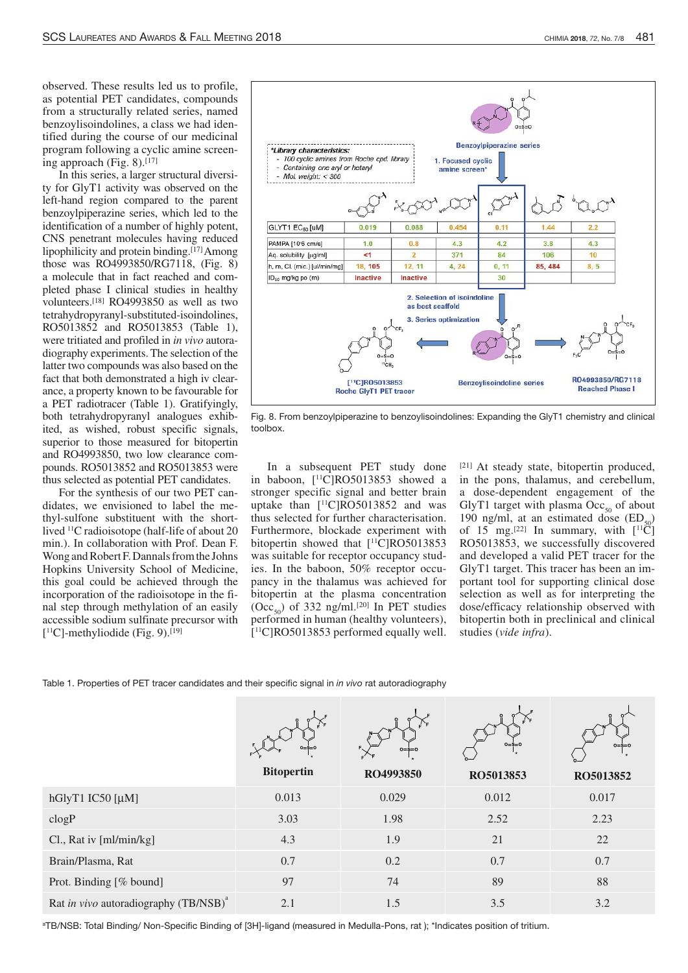observed. These results led us to profile, from a structurally related series, named benzoylisoindolines, a class we had identified during the course of our medicinal tified during the course of our incurental program following a cyclic amine screen-<br>ing engroech  $(F_{\alpha}^{\bullet} S)$  [17] ing approach (Fig. 8).<sup>[17]</sup><br>In this series, a larger structural diversi-

ty for GlyT1 activity was observed on the ty for GlyT<sub>1</sub> activity was observed on the left-hand region compared to the parent benzoylpiperazine series, which led to the identification of a number of highly potent, CNS penetrant molecules having reduced CNS penetrant molecules having reduced Ilpophilicity and protein binding.<sup>[17]</sup>Among<br>those was RO4003850/BC7119 (Eig. 8) those was RO4993850/RG7118, (Fig. 8)<br>a molecule that in fact reached and completed phase I clinical studies in healthy volunteers.<sup>[18]</sup> RO4993850 as well as two tetrahydropyranyl-substituted-isoindolines, RO5013852 and RO5013853 (Table 1), RO5013852 and RO5013853 (Table 1), were tritiated and profiled in *in vivo* autoradiography experiments. The selection of the latter two compounds was also based on the fact that both demonstrated a high iv clearfact that both demonstrated a high iv clearance, a property known to be favourable for a PET radiotracer (Table 1). Gratifyingly, ited, as wished, robust specific signals, superior to those measured for bitopertin and RO4993850, two low clearance compounds. RO5013852 and RO5013853 were thus selected as potential PET candidates.

For the synthesis of our two PET can-For the synthesis of our two PET candidates, we envisioned to label the methyl-sulfone substituent with the shortlived <sup>11</sup>C radioisotope (half-life of about 20 min.). In collaboration with Prof. Dean F. Wong and Robert F. Dannals from the Johns Hopkins University School of Medicine, this goal could be achieved through the incorporation of the radioisotope in the fi-<br>
rad step through methylation of an easily nal step through methylation of an easily accessible source sulfinate precursor with<br> $\frac{15}{10}$  mathedial ide (Fig. 0)  $\frac{100}{100}$  $\lfloor$ <sup>11</sup>C]-methyliodide (Fig. 9).<sup>[19]</sup>



Fig. 8. From benzoylpiperazine to benzoylisoindolines: Expanding the GlyT1 chemistry and clinical toolbox.

In a subsequent PET study done stronger specific signal and better brain  $^{11}$ C]RO5013853 showed a stronger specific signal and better brain thus selected for further characterisation.  $\frac{11}{11}$ C RO5013852 and was Furthermore, blockade experiment with Furthermore, blockade experiment with bitopertin showed that [<sup>11</sup>C]RO5013853 was suitable for receptor occupancy stud-<br>ies. In the baboon, 50% receptor occupancy in the thalamus was achieved for pancy in the thalamus was achieved for bitopertin at the plasma concentration  $(\text{OCC}_{50})$  of 332 ng/ml.<sup>[20]</sup> In PET studies performed in human (healthy volunteers), [ <sup>11</sup>C]RO5013853 performed equally well.

 $[21]$  At steady state, bitopertin produced, in the pons, thalamus, and cerebellum, in the pons, thalamus, and cerebellum, a dose-dependent engagement of the GlyT1 target with plasma Occ<sub>50</sub> of about 190 ng/ml, at an estimated dose (ED<sub>50</sub>) 190 ng/ml, at an estimated dose  $(ED_{50})$ <br>of 15 mg [22] In gummony with  $[1]$ Cl of 15 mg.<sup>[22]</sup> In summary, with  $\lfloor$ <sup>11</sup>C] RO5013853, we successfully discovered ROJ013833, we successfully discovered and developed a valid  $FET$  tracer for the  $C1xT1$  tensor. This tracer has been an im-GlyT1 target. This tracer has been an important tool for supporting clinical dose portant tool for supporting clinical dose selection as well as for interpreting the dose/efficacy relationship observed with bitopertin both in preclinical and clinical studies (*vide infra*).

Table 1. Properties of PET tracer candidates and their specific signal in in vivo rat autoradiography

|                                                   | $0 = S = 0$<br><b>Bitopertin</b> | $0 = \dot{\$} = 0$<br>RO4993850 | $0 = $ = 0$<br>RO5013853 | $0 = s = 0$<br>RO5013852 |
|---------------------------------------------------|----------------------------------|---------------------------------|--------------------------|--------------------------|
| hGlyT1 IC50 [µM]                                  | 0.013                            | 0.029                           | 0.012                    | 0.017                    |
| clogP                                             | 3.03                             | 1.98                            | 2.52                     | 2.23                     |
| Cl., Rat iv [ml/min/kg]                           | 4.3                              | 1.9                             | 21                       | 22                       |
| Brain/Plasma, Rat                                 | 0.7                              | 0.2                             | 0.7                      | 0.7                      |
| Prot. Binding [% bound]                           | 97                               | 74                              | 89                       | 88                       |
| Rat in vivo autoradiography (TB/NSB) <sup>a</sup> | 2.1                              | 1.5                             | 3.5                      | 3.2                      |

<sup>a</sup>TB/NSB: Total Binding/ Non-Specific Binding of [3H]-ligand (measured in Medulla-Pons, rat ); \*Indicates position of tritium.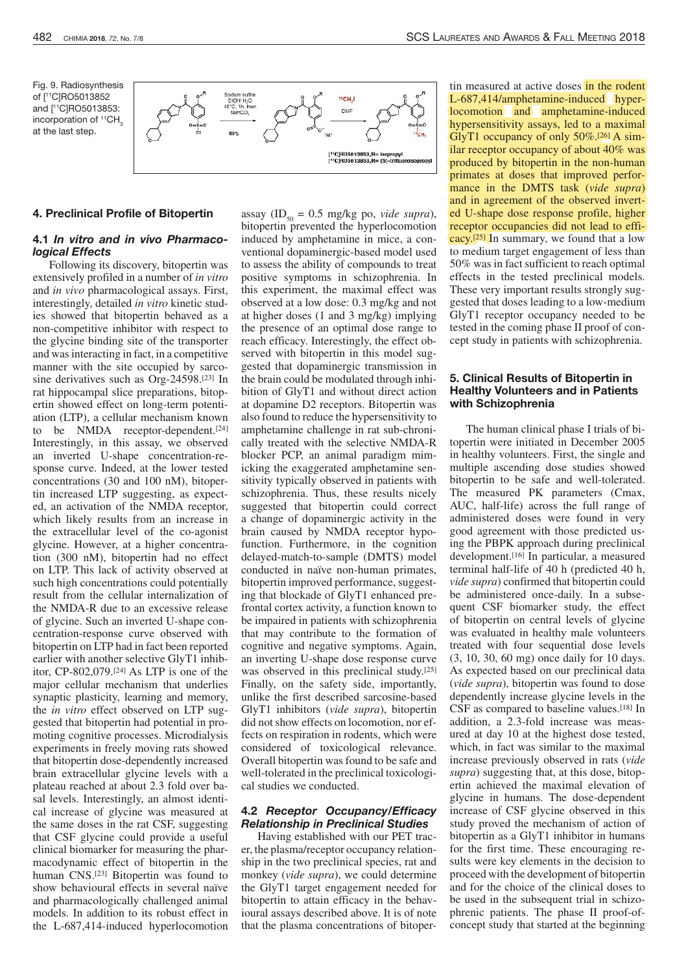Fig. 9. Radiosynthesis of [ <sup>11</sup>C]RO5013852 and [ <sup>11</sup>C]RO5013853: incorporation of  ${}^{11}CH<sub>2</sub>$ at the last step.



#### 4. Preclinical Profile of Bitopertin

# 4.1 In vitro and in vivo Pharmacological Effects

Following its discovery, bitopertin was extensively profiled in <sup>a</sup> number of *in vitro* and *in vivo* pharmacological assays. First, interestingly, detailed *in vitro* kinetic stud-<br>ies showed that bitopertin behaved as a ies showed that bitopertin behaved as a non-competitive inhibitor with respect to the glycine binding site of the transporter and was interacting in fact, in a competitive manner with the site occupied by sarcomanner with the site occupied by sarcosine derivatives such as  $\text{Urg-24398}$ .<sup>[23]</sup> In rat hippocampal slice preparations, bitop-<br>ertin showed effect on long-term potentiation (LTP), a cellular mechanism known ation (LTP), a centuar mechanism known to be NMDA receptor-dependent.<sup>[24]</sup> Interestingly, in this assay, we observed<br>an inverted U-shape concentration-response curve. Indeed, at the lower tested concentrations (30 and 100 nM), bitopertin increased LTP suggesting, as expectthe increased LTP suggesting, as expected, an activation of the NMDA receptor, which likely results from an increase in the extracellular level of the co-agonist glycine. However, at a higher concentra-<br>tion (300 nM), bitopertin had no effect on LTP. This lack of activity observed at such high concentrations could potentially result from the cellular internalization of the NMDA-R due to an excessive release the NMDA-R due to an excessive release of glycine. Such an inverted U-shape concentration-response curve observed with bitopertin on LTPhad in fact been reported earlier with another selective GlyT1 inhibitor, CP-802,079.[24] As LTP is one of the major cellular mechanism that underlies synaptic plasticity, learning and memory, the *in vitro* effect observed on LTP suggested that bitopertin had potential in promoting cognitive processes. Microdialysis<br>experiments in freely moving rats showed experiments in freely moving rats showed that bitopertin dose-dependently increased brain extracellular glycine levels with a plateau reached at about 2.3 fold over basal levels. Interestingly, an almost identical increase of glycine was measured at the same doses in the rat CSF, suggesting that CSF glycine could provide a useful clinical biomarker for measuring the pharmacodynamic effect of bitopertin in the human CNS.[23] Bitopertin was found to show behavioural effects in several naïve<br>and pharmacologically challenged animal models. In addition to its robust effect in models. In addition to its robust effect in the L-687,414-induced hyperlocomotion

assay (ID<sub>50</sub> = 0.5 mg/kg po, *vide supra*), bitopertin prevented the hyperlocomotion induced by amphetamine in mice, a conventional dopaminergic-based model used to assess the ability of compounds to treat positive symptoms in schizophrenia. In this experiment, the maximal effect was this experiment, the maximal effect was  $\frac{1}{2}$  observed at a low dose. 0.3 mg/kg and not at higher doses (1 and 3 mg/kg) implying the presence of an optimal dose range to reach efficacy. Interestingly, the effect ob-<br>served with bitopertin in this model sugserved with bitopertin in this model suggested that dopaminergic transmission in the brain could be modulated through inhi-<br>bition of GlyT1 and without direct action at dopamine D2 receptors. Bitopertin was also found to reduce the hypersensitivity to amphetamine challenge in rat sub-chronically treated with the selective NMDA-R blocker PCP, an animal paradigm mimicking the exaggerated amphetamine senicking the exaggerated amphetamine sensitivity typically observed in patients with schizophrenia. Thus, these results nicely suggested that bitopertin could correct suggested that bitopertin could correct a change of dopaminergic activity in the brain caused by NMDA receptor hypo-<br>function. Furthermore, in the cognition delayed-match-to-sample (DMTS) model conducted in naïve non-human primates, conducted in naïve non-human primates, bitopertin improved performance, suggesting that blockade of GlyT1 enhanced pre-<br>frontal cortex activity, a function known to be impaired in patients with schizophrenia that may contribute to the formation of that may contribute to the formation of cognitive and negative symptoms. Again, an inverting U-shape dose response curve was observed in this preclinical study.<sup>[25]</sup><br>Finally, an the sofety side, importantly. Finally, on the safety side, importantly, unlike the first described sarcosine-based GlyT1 inhibitors (*vide supra*), bitopertin did not show effects on locomotion, nor effects on respiration in rodents, which were considered of toxicological relevance.<br>Overall bitopertin was found to be safe and Overall bitopertin was found to be safe and well-tolerated in the preclinical toxicological studies we conducted.

## 4.2 Receptor Occupancy/Efficacy Relationship in Preclinical Studies

Having established with our PET tracer, the plasma/receptor occupancy relationship in the two preclinical species, rat and monkey (*vide supra*), we could determine the GlyT1 target engagement needed for bitopertin to attain efficacy in the behavioural assays described above. It is of note that the plasma concentrations of bitopertin measured at active doses in the rodent<br>L-687,414/amphetamine-induced hyperlocomotion and amphetamine-induced hypersensitivity assays, led to a maximal hypersensitivity assays, i.ed to a maximal<br>ChrT1 cocuronal of only  $50\%$  [26] A cim Gly 11 occupancy of only  $50\%$ .<sup>[26]</sup> A sim-<br>iler receptor ecoupancy of about  $40\%$  west ilar receptor occupancy of about 40% was<br>produced by bitopertin in the non-human primates at doses that improved perforprimates at doses that improved perfor-<br>mance in the DMTS task (*vide supra*) and in agreement of the observed invert-<br>ed U-shape dose response profile, higher receptor occupancies did not lead to effireceptor occupancies did not lead to efficacy.<sup>[25]</sup> In summary, we found that a low to medium target engagement of less than<br>50% was in fact sufficient to reach optimal effects in the tested preclinical models. These very important results strongly suggested that doses leading to a low-medium GlyT1 receptor occupancy needed to be tested in the coming phase II proof of contested in the coming phase II proof of concept study in patients with schizophrenia.

## 5. Clinical Results of Bitopertin in Healthy Volunteers and in Patients with Schizophrenia

The human clinical phase I trials of bi-<br>topertin were initiated in December 2005 in healthy volunteers. First, the single and multiple ascending dose studies showed bitopertin to be safe and well-tolerated. The measured PK parameters (Cmax, The measured  $\Gamma$ K parameters (Cmax,  $AUC$ , half-life) across the full range of administered doses were found in very good agreement with those predicted using the PBPK approach during preclinical development.<sup>[16]</sup> In particular, a measured terminal half-life of 40 h (predicted 40 h, terminal half-life of 40 h (predicted 40 h, *vide supra*) confirmed that bitopertin could be administered once-daily. In a subsequent CSF biomarker study, the effect of bitopertin on central levels of glycine was evaluated in healthy male volunteers was evaluated in healthy male volunteers treated with four sequential dose levels<br> $(2, 10, 20, 60 \text{ ms})$  and dollar for 10 days  $(3, 10, 30, 00 \text{ mg})$  once daily for 10 days. As expected based on our precinical data (*vide supra*), bitopertin was found to dose dependently increase glycine levels in the CSF as compared to baseline values.[18] In addition, a 2.3-fold increase was measured at day 10 at the highest dose tested, which, in fact was similar to the maximal increase previously observed in rats (*vide supra*) suggesting that, at this dose, bitopglycine in humans. The dose-dependent glycine in humans. The dose-dependent increase of CSF glycine observed in this study proved the mechanism of action of  $\frac{1}{2}$ for the first time. These encouraging results were key elements in the decision to proceed with the development of bitopertin and for the choice of the clinical doses to be used in the subsequent trial in schizophrenic patients. The phase II proof-ofconcept study that started at the beginning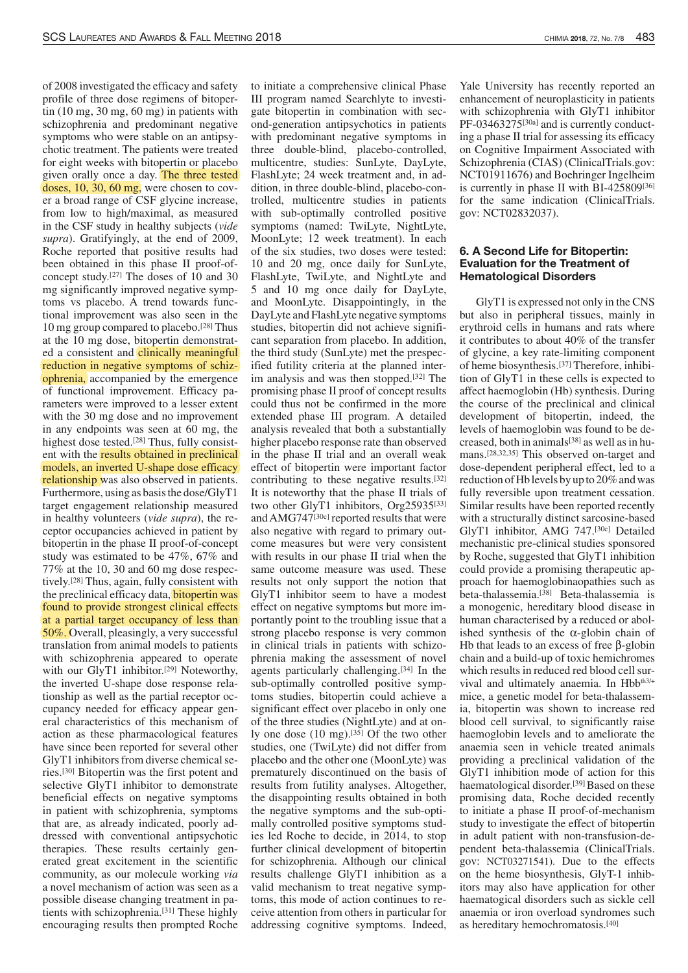of 2008 investigated the efficacy and safety tin  $(10 \text{ mg}, 30 \text{ mg}, 60 \text{ mg})$  in patients with schizophrenia and predominant negative symptoms who were stable on an antipsychotic treatment. The patients were treated for eight weeks with bitopertin or placebo given orally once a day. The three tested doses,  $10$ ,  $30$ ,  $60$  mg, were chosen to covdoses, 10, 30, 60 mg, were chosen to cover a broad range of CSF glycine increase, from low to high/maximal, as measured in the CSF study in healthy subjects (*vide supra*). Gratifyingly, at the end of 2009, been obtained in this phase II proof-ofbeen obtained in this phase  $\frac{1}{20}$  proof-ofmg significantly improved negative symp- $\mu$ <sup>27]</sup> The doses of 10 and 30 toms vs placebo. A trend towards functional improvement was also seen in the tional improvement was also seen in the 10 mg group compared to placebo.<sup>[28]</sup> Thus at the 10 mg dose, bitopertin demonstrated a consistent and **clinically meaningful** reduction in negative symptoms of schizreduction in negative symptoms of semiophrenia, accompanied by the emergence of functional improvement. Efficacy parameters were improved to a lesser extent<br>with the 30 mg dose and no improvement in any endpoints was seen at 60 mg, the in any endpoints was seen at 60 mg, the mignest dose tested.<sup>[28]</sup> Thus, fully consist-<br>ont with the **meults e**stained in preclinical ent with the results obtained in preclinical<br>models, an inverted U-shape dose efficacy relationship was also observed in patients. Furthermore, using as basis the dose/GlyT1 target engagement relationship measured target engagement relationship measured in healthy volunteers (*vide supra*), the receptor occupancies achieved in patient by bitopertin in the phase II proof-of-concept study was estimated to be 47%, 67% and 77% at the 10, 30 and 60 mg dose respectively.<sup>[28]</sup> Thus, again, fully consistent with the preclinical efficacy data, **bitopertin was** found to provide strongest clinical effects found to provide strongest clinical effects at a partial target occupancy of less than 50%. Overall, pleasingly, a very successful translation from animal models to patients with schizophrenia appeared to operate with our GlyT<sub>1</sub> inhibitor.<sup>[29]</sup> Noteworthy, the inverted U-shape dose response relationship as well as the partial receptor occupancy needed for efficacy appear general characteristics of this mechanism of action as these pharmacological features have since been reported for several other GlyT1 inhibitors from diverse chemical series.[30] Bitopertin was the first potent and selective GlyT1 inhibitor to demonstrate beneficial effects on negative symptoms in patient with schizophrenia, symptoms that are, as already indicated, poorly addressed with conventional antipsychotic therapies. These results certainly generated great excitement in the scientific community, as our molecule working *via* a novel mechanism of action was seen as a possible disease changing treatment in patients with schizophrenia.[31] These highly encouraging results then prompted Roche

to initiate a comprehensive clinical Phase<br>III program named Searchlyte to investigate bitopertin in combination with second-generation antipsychotics in patients with predominant negative symptoms in three double-blind, placebo-controlled, multicentre, studies: SunLyte, DayLyte, FlashLyte; 24 week treatment and, in addition, in three double-blind, placebo-controlled, multicentre studies in patients with sub-optimally controlled positive symptoms (named: TwiLyte, NightLyte, MoonLyte; 12 week treatment). In each of the six studies, two doses were tested: 10 and 20 mg, once daily for SunLyte, FlashLyte, TwiLyte, and NightLyte and 5 and 10 mg once daily for DayLyte, and MoonLyte. Disappointingly, in the DayLyte and FlashLyte negative symptoms studies, bitopertin did not achieve signifistudies, bitopertin did not achieve significant separation from placebo. In addition, the third study (SunLyte) met the prespecincu futility criteria at the planned interim analysis and was then stopped.[32] The promising phase II proof of concept results<br>could thus not be confirmed in the more extended phase III program. A detailed extended phase III program. A detailed analysis revealed that both a substantially higher placebo response rate than observed<br>in the phase II trial and an overall weak effect of bitopertin were important factor effect of bitopertin were important factor contributing to these negative results.<sup>[32]</sup> It is noteworthy that the phase II trials of two other GIYTT inhibitors,  $\text{Urg25935}^{[33]}$ and AMG747<sup>[30c]</sup> reported results that were also negative with regard to primary outcome measures but were very consistent with results in our phase II trial when the same outcome measure was used. These same outcome measure was used. These results not only support the notion that GlyT1 inhibitor seem to have a modest effect on negative symptoms but more importantly point to the troubling issue that a strong placebo response is very common strong placebo response is very common<br>in aliminal trials in national with saking in clinical trials in patients with schizophrenia making the assessment of novel agents particularly challenging.<sup>[34]</sup> In the sub-optimally controlled positive symptoms studies, bitopertin could achieve a significant effect over placebo in only one<br>of the three studies (NightLyte) and at onof the three studies (NightLyte) and at only one dose  $(10 \text{ mg})$ .<sup>[35]</sup> Of the two other studies, one (TwiLyte) did not differ from placebo and the other one (MoonLyte) was prematurely discontinued on the basis of results from futility analyses. Altogether, the disappointing results obtained in both the negative symptoms and the sub-opti-<br>mally controlled positive symptoms studmany controlled positive symptoms studies led Roche to decide, in 2014, to stop further clinical development of bitopertin for schizophrenia. Although our clinical results challenge GlyT1 inhibition as a valid mechanism to treat negative symptoms, this mode of action continues to receive attention from others in particular for addressing cognitive symptoms. Indeed, Yale University has recently reported an enhancement of neuroplasticity in patients with schizophrenia with GlyT1 inhibitor  $PF-03463275^{[30a]}$  and is currently conducting a phase II trial for assessing its efficacy on Cognitive Impairment Associated with on Cognitive Impairment Associated with Schizophrenia (CIAS) (Chineal Frials.gov.<br>NGT01011476) and Daobringar Ingelbern NCT01911676) and Boehringer Ingelheim is currently in phase II with  $D_1$ -425809<sup>[36]</sup> for the same indication (ClinicalTrials. gov: NCT02832037).

# 6. A Second Life for Bitopertin: Evaluation for the Treatment of Hematological Disorders

GlyT1 is expressed not only in the CNS<br>but also in peripheral tissues, mainly in erythroid cells in humans and rats where it contributes to about 40% of the transfer of glycine, a key rate-limiting component of glycine, a key rate-limiting component<br>of hama his complexes [37] Thangfore, inhibiof heme biosynthesis.<sup>[37]</sup> Therefore, inhibi-<br>tion of  $Cl_2T1$  in these sells is amonted to tion of GlyT<sub>1</sub> in these cens is expected to affect haemoglobin (Hb) synthesis. During the course of the preclinical and clinical levels of haemoglobin was found to be delevels of haemoglobin was found to be decreased, both in animals<sup>[36]</sup> as well as in humans.<sup>[28,32,35]</sup> This observed on-target and dose-dependent peripheral effect, led to a reduction of Hb levels by up to 20% and was fully reversible upon treatment cessation. fully reversible upon treatment cessation. Similar results have been reported recently with a structurally distinct sarcosine-based<br>ClyT1, inhibitor, AMC, 747 [30c], Deteiled GlyT<sub>1</sub> inhibitor, AMG 747.<sup>[30c]</sup> Detailed mechanistic pre-clinical studies sponsored by Roche, suggested that GlyT1 inhibition could provide a promising therapeutic approach for haemoglobinal provides such as proach for haemoglobinaopathies such as beta-thalassemia.[38] Beta-thalassemia is a monogenic, hereditary blood disease in human characterised by a reduced or abol-<br>ished synthesis of the α-globin chain of Hb that leads to an excess of free β-globin chain and a build-up of toxic hemichromes which results in reduced red blood cell surwhich results in reduced red blood cell survival and ultimately anaemia. In  $Hb_{\text{max}}$ mice, a genetic model for beta-thalassemia, bitopertin was shown to increase red blood cell survival, to significantly raise haemoglobin levels and to ameliorate the anaemia seen in vehicle treated animals providing a preclinical validation of the GlyT1 inhibition mode of action for this haematological disorder. haematological disorder.<sup>[39]</sup> Based on these promising data, Roche decided recently to initiate a phase II proof-of-mechanism study to investigate the effect of bitopertines in adult patient with non-transfusion-dependent beta-thalassemia (ClinicalTrials. gov: NCT03271541). Due to the effects on the heme biosynthesis, GlyT-1 inhibitors may also have application for other haematogical disorders such as sickle cell anaemia or iron overload syndromes such as hereditary hemochromatosis.[40]